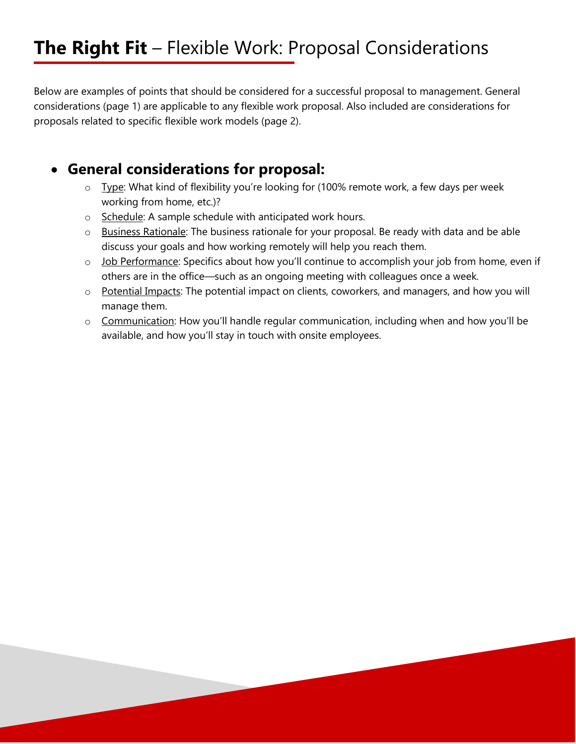# **The Right Fit** – Flexible Work: Proposal Considerations

Below are examples of points that should be considered for a successful proposal to management. General considerations (page 1) are applicable to any flexible work proposal. Also included are considerations for proposals related to specific flexible work models (page 2).

## **General considerations for proposal:**

- o Type: What kind of flexibility you're looking for (100% remote work, a few days per week working from home, etc.)?
- o Schedule: A sample schedule with anticipated work hours.
- o Business Rationale: The business rationale for your proposal. Be ready with data and be able discuss your goals and how working remotely will help you reach them.
- o Job Performance: Specifics about how you'll continue to accomplish your job from home, even if others are in the office—such as an ongoing meeting with colleagues once a week.
- o Potential Impacts: The potential impact on clients, coworkers, and managers, and how you will manage them.
- o Communication: How you'll handle regular communication, including when and how you'll be available, and how you'll stay in touch with onsite employees.